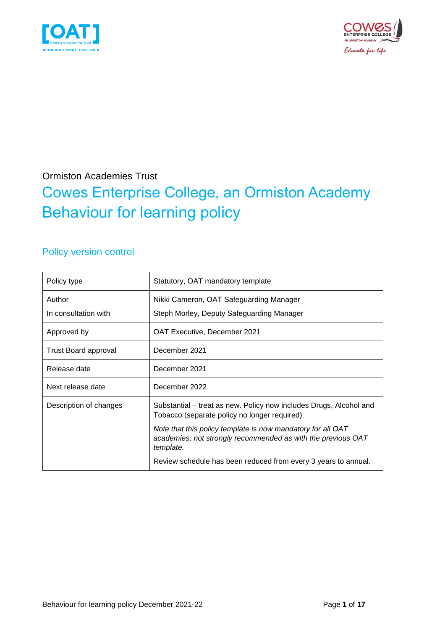



## Ormiston Academies Trust Cowes Enterprise College, an Ormiston Academy Behaviour for learning policy

## Policy version control

| Policy type            | Statutory, OAT mandatory template                                                                                                        |
|------------------------|------------------------------------------------------------------------------------------------------------------------------------------|
| Author                 | Nikki Cameron, OAT Safeguarding Manager                                                                                                  |
| In consultation with   | Steph Morley, Deputy Safeguarding Manager                                                                                                |
| Approved by            | OAT Executive, December 2021                                                                                                             |
| Trust Board approval   | December 2021                                                                                                                            |
| Release date           | December 2021                                                                                                                            |
| Next release date      | December 2022                                                                                                                            |
| Description of changes | Substantial – treat as new. Policy now includes Drugs, Alcohol and<br>Tobacco (separate policy no longer required).                      |
|                        | Note that this policy template is now mandatory for all OAT<br>academies, not strongly recommended as with the previous OAT<br>template. |
|                        | Review schedule has been reduced from every 3 years to annual.                                                                           |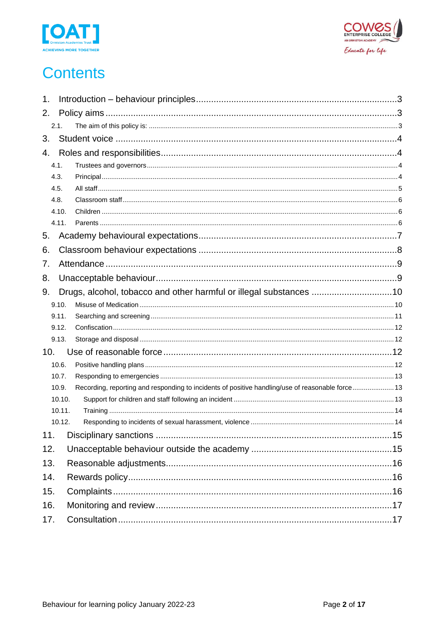



# **Contents**

| 1.     |                                                                                                  |  |
|--------|--------------------------------------------------------------------------------------------------|--|
| 2.     |                                                                                                  |  |
| 2.1.   |                                                                                                  |  |
| 3.     |                                                                                                  |  |
| 4.     |                                                                                                  |  |
| 4.1.   |                                                                                                  |  |
| 4.3.   |                                                                                                  |  |
| 4.5.   |                                                                                                  |  |
| 4.8.   |                                                                                                  |  |
| 4.10.  |                                                                                                  |  |
| 4.11.  |                                                                                                  |  |
| 5.     |                                                                                                  |  |
| 6.     |                                                                                                  |  |
| 7.     |                                                                                                  |  |
| 8.     |                                                                                                  |  |
| 9.     | Drugs, alcohol, tobacco and other harmful or illegal substances 10                               |  |
| 9.10.  |                                                                                                  |  |
| 9.11.  |                                                                                                  |  |
| 9.12.  |                                                                                                  |  |
| 9.13.  |                                                                                                  |  |
| 10.    |                                                                                                  |  |
| 10.6.  |                                                                                                  |  |
| 10.7.  |                                                                                                  |  |
| 10.9.  | Recording, reporting and responding to incidents of positive handling/use of reasonable force 13 |  |
| 10.10. |                                                                                                  |  |
| 10.11. |                                                                                                  |  |
| 10.12. |                                                                                                  |  |
| 11.    |                                                                                                  |  |
| 12.    |                                                                                                  |  |
| 13.    |                                                                                                  |  |
| 14.    |                                                                                                  |  |
| 15.    |                                                                                                  |  |
| 16.    |                                                                                                  |  |
| 17.    |                                                                                                  |  |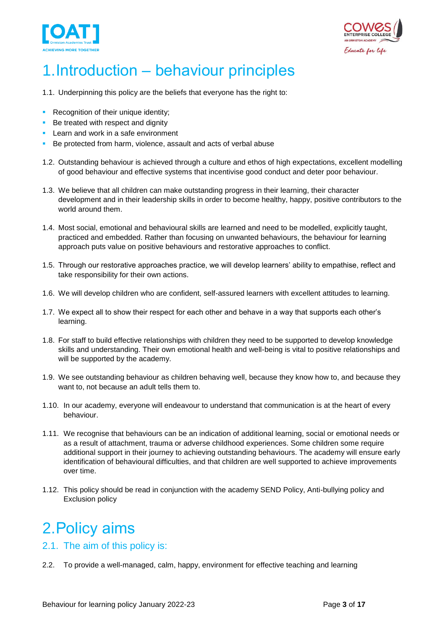



# <span id="page-2-0"></span>1.Introduction – behaviour principles

- 1.1. Underpinning this policy are the beliefs that everyone has the right to:
- **Recognition of their unique identity;**
- Be treated with respect and dignity
- **EXEC** Learn and work in a safe environment
- Be protected from harm, violence, assault and acts of verbal abuse
- 1.2. Outstanding behaviour is achieved through a culture and ethos of high expectations, excellent modelling of good behaviour and effective systems that incentivise good conduct and deter poor behaviour.
- 1.3. We believe that all children can make outstanding progress in their learning, their character development and in their leadership skills in order to become healthy, happy, positive contributors to the world around them.
- 1.4. Most social, emotional and behavioural skills are learned and need to be modelled, explicitly taught, practiced and embedded. Rather than focusing on unwanted behaviours, the behaviour for learning approach puts value on positive behaviours and restorative approaches to conflict.
- 1.5. Through our restorative approaches practice, we will develop learners' ability to empathise, reflect and take responsibility for their own actions.
- 1.6. We will develop children who are confident, self-assured learners with excellent attitudes to learning.
- 1.7. We expect all to show their respect for each other and behave in a way that supports each other's learning.
- 1.8. For staff to build effective relationships with children they need to be supported to develop knowledge skills and understanding. Their own emotional health and well-being is vital to positive relationships and will be supported by the academy.
- 1.9. We see outstanding behaviour as children behaving well, because they know how to, and because they want to, not because an adult tells them to.
- 1.10. In our academy, everyone will endeavour to understand that communication is at the heart of every behaviour.
- 1.11. We recognise that behaviours can be an indication of additional learning, social or emotional needs or as a result of attachment, trauma or adverse childhood experiences. Some children some require additional support in their journey to achieving outstanding behaviours. The academy will ensure early identification of behavioural difficulties, and that children are well supported to achieve improvements over time.
- 1.12. This policy should be read in conjunction with the academy SEND Policy, Anti-bullying policy and Exclusion policy

# <span id="page-2-1"></span>2.Policy aims

## <span id="page-2-2"></span>2.1. The aim of this policy is:

2.2. To provide a well-managed, calm, happy, environment for effective teaching and learning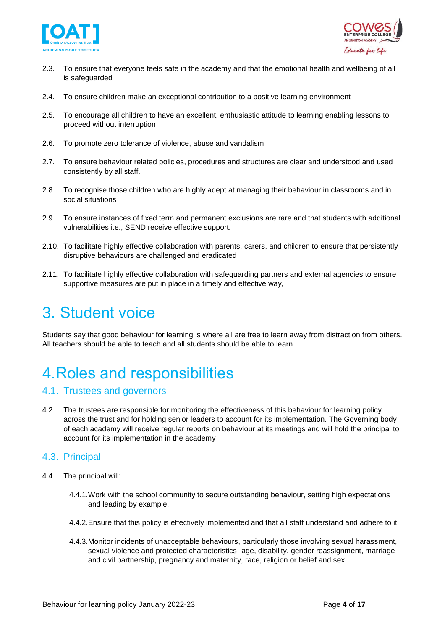



- 2.3. To ensure that everyone feels safe in the academy and that the emotional health and wellbeing of all is safeguarded
- 2.4. To ensure children make an exceptional contribution to a positive learning environment
- 2.5. To encourage all children to have an excellent, enthusiastic attitude to learning enabling lessons to proceed without interruption
- 2.6. To promote zero tolerance of violence, abuse and vandalism
- 2.7. To ensure behaviour related policies, procedures and structures are clear and understood and used consistently by all staff.
- 2.8. To recognise those children who are highly adept at managing their behaviour in classrooms and in social situations
- 2.9. To ensure instances of fixed term and permanent exclusions are rare and that students with additional vulnerabilities i.e., SEND receive effective support.
- 2.10. To facilitate highly effective collaboration with parents, carers, and children to ensure that persistently disruptive behaviours are challenged and eradicated
- 2.11. To facilitate highly effective collaboration with safeguarding partners and external agencies to ensure supportive measures are put in place in a timely and effective way,

# <span id="page-3-0"></span>3. Student voice

Students say that good behaviour for learning is where all are free to learn away from distraction from others. All teachers should be able to teach and all students should be able to learn.

# <span id="page-3-1"></span>4.Roles and responsibilities

#### <span id="page-3-2"></span>4.1. Trustees and governors

4.2. The trustees are responsible for monitoring the effectiveness of this behaviour for learning policy across the trust and for holding senior leaders to account for its implementation. The Governing body of each academy will receive regular reports on behaviour at its meetings and will hold the principal to account for its implementation in the academy

### <span id="page-3-3"></span>4.3. Principal

- 4.4. The principal will:
	- 4.4.1.Work with the school community to secure outstanding behaviour, setting high expectations and leading by example.
	- 4.4.2.Ensure that this policy is effectively implemented and that all staff understand and adhere to it
	- 4.4.3.Monitor incidents of unacceptable behaviours, particularly those involving sexual harassment, sexual violence and protected characteristics- age, disability, gender reassignment, marriage and civil partnership, pregnancy and maternity, race, religion or belief and sex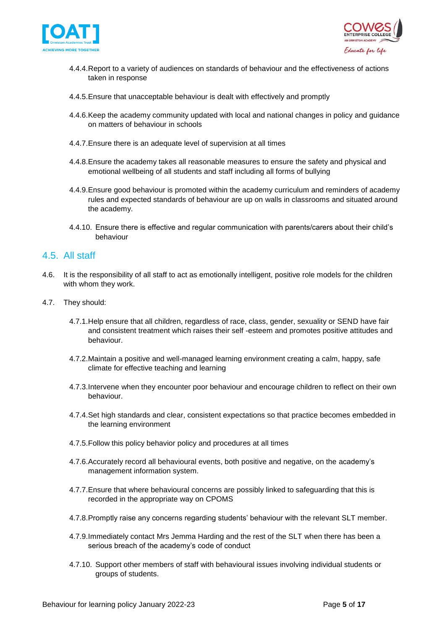



- 4.4.4.Report to a variety of audiences on standards of behaviour and the effectiveness of actions taken in response
- 4.4.5.Ensure that unacceptable behaviour is dealt with effectively and promptly
- 4.4.6.Keep the academy community updated with local and national changes in policy and guidance on matters of behaviour in schools
- 4.4.7.Ensure there is an adequate level of supervision at all times
- 4.4.8.Ensure the academy takes all reasonable measures to ensure the safety and physical and emotional wellbeing of all students and staff including all forms of bullying
- 4.4.9.Ensure good behaviour is promoted within the academy curriculum and reminders of academy rules and expected standards of behaviour are up on walls in classrooms and situated around the academy.
- 4.4.10. Ensure there is effective and regular communication with parents/carers about their child's behaviour

### <span id="page-4-0"></span>4.5. All staff

- 4.6. It is the responsibility of all staff to act as emotionally intelligent, positive role models for the children with whom they work.
- 4.7. They should:
	- 4.7.1.Help ensure that all children, regardless of race, class, gender, sexuality or SEND have fair and consistent treatment which raises their self -esteem and promotes positive attitudes and behaviour.
	- 4.7.2.Maintain a positive and well-managed learning environment creating a calm, happy, safe climate for effective teaching and learning
	- 4.7.3.Intervene when they encounter poor behaviour and encourage children to reflect on their own behaviour.
	- 4.7.4.Set high standards and clear, consistent expectations so that practice becomes embedded in the learning environment
	- 4.7.5.Follow this policy behavior policy and procedures at all times
	- 4.7.6.Accurately record all behavioural events, both positive and negative, on the academy's management information system.
	- 4.7.7.Ensure that where behavioural concerns are possibly linked to safeguarding that this is recorded in the appropriate way on CPOMS
	- 4.7.8.Promptly raise any concerns regarding students' behaviour with the relevant SLT member.
	- 4.7.9.Immediately contact Mrs Jemma Harding and the rest of the SLT when there has been a serious breach of the academy's code of conduct
	- 4.7.10. Support other members of staff with behavioural issues involving individual students or groups of students.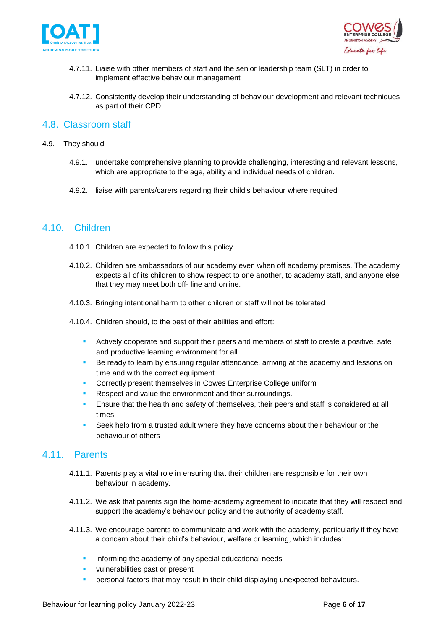



- 4.7.11. Liaise with other members of staff and the senior leadership team (SLT) in order to implement effective behaviour management
- 4.7.12. Consistently develop their understanding of behaviour development and relevant techniques as part of their CPD.

### <span id="page-5-0"></span>4.8. Classroom staff

- 4.9. They should
	- 4.9.1. undertake comprehensive planning to provide challenging, interesting and relevant lessons, which are appropriate to the age, ability and individual needs of children.
	- 4.9.2. liaise with parents/carers regarding their child's behaviour where required

### <span id="page-5-1"></span>4.10. Children

- 4.10.1. Children are expected to follow this policy
- 4.10.2. Children are ambassadors of our academy even when off academy premises. The academy expects all of its children to show respect to one another, to academy staff, and anyone else that they may meet both off- line and online.
- 4.10.3. Bringing intentional harm to other children or staff will not be tolerated
- 4.10.4. Children should, to the best of their abilities and effort:
	- Actively cooperate and support their peers and members of staff to create a positive, safe and productive learning environment for all
	- Be ready to learn by ensuring regular attendance, arriving at the academy and lessons on time and with the correct equipment.
	- Correctly present themselves in Cowes Enterprise College uniform
	- Respect and value the environment and their surroundings.
	- Ensure that the health and safety of themselves, their peers and staff is considered at all times
	- Seek help from a trusted adult where they have concerns about their behaviour or the behaviour of others

### <span id="page-5-2"></span>4.11. Parents

- 4.11.1. Parents play a vital role in ensuring that their children are responsible for their own behaviour in academy.
- 4.11.2. We ask that parents sign the home-academy agreement to indicate that they will respect and support the academy's behaviour policy and the authority of academy staff.
- 4.11.3. We encourage parents to communicate and work with the academy, particularly if they have a concern about their child's behaviour, welfare or learning, which includes:
	- informing the academy of any special educational needs
	- vulnerabilities past or present
	- personal factors that may result in their child displaying unexpected behaviours.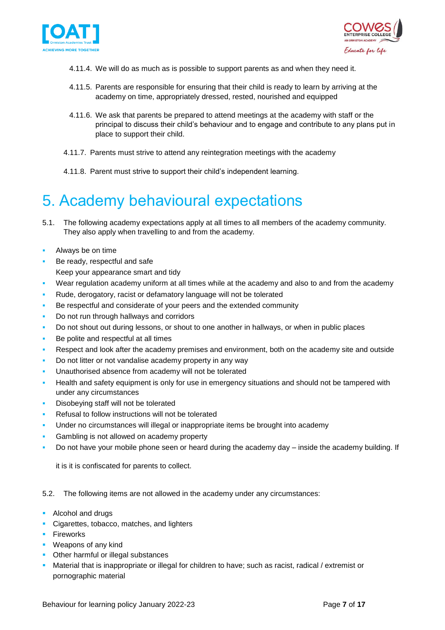



- 4.11.4. We will do as much as is possible to support parents as and when they need it.
- 4.11.5. Parents are responsible for ensuring that their child is ready to learn by arriving at the academy on time, appropriately dressed, rested, nourished and equipped
- 4.11.6. We ask that parents be prepared to attend meetings at the academy with staff or the principal to discuss their child's behaviour and to engage and contribute to any plans put in place to support their child.
- 4.11.7. Parents must strive to attend any reintegration meetings with the academy
- 4.11.8. Parent must strive to support their child's independent learning.

## <span id="page-6-0"></span>5. Academy behavioural expectations

- 5.1. The following academy expectations apply at all times to all members of the academy community. They also apply when travelling to and from the academy.
- Always be on time
- Be ready, respectful and safe Keep your appearance smart and tidy
- Wear regulation academy uniform at all times while at the academy and also to and from the academy
- Rude, derogatory, racist or defamatory language will not be tolerated
- Be respectful and considerate of your peers and the extended community
- Do not run through hallways and corridors
- Do not shout out during lessons, or shout to one another in hallways, or when in public places
- Be polite and respectful at all times
- Respect and look after the academy premises and environment, both on the academy site and outside
- Do not litter or not vandalise academy property in any way
- Unauthorised absence from academy will not be tolerated
- **EXECT HEALTH AND SET SAFET SAFET SAFET IS ONLY FOR SHEALTH IN SAFET SAFET SAFET AND FIGURED AND FIGURED WITH SH** under any circumstances
- Disobeying staff will not be tolerated
- Refusal to follow instructions will not be tolerated
- Under no circumstances will illegal or inappropriate items be brought into academy
- Gambling is not allowed on academy property
- Do not have your mobile phone seen or heard during the academy day inside the academy building. If

it is it is confiscated for parents to collect.

5.2. The following items are not allowed in the academy under any circumstances:

- Alcohol and drugs
- **EXEC** Cigarettes, tobacco, matches, and lighters
- **•** Fireworks
- Weapons of any kind
- Other harmful or illegal substances
- **EXEDENT Material that is inappropriate or illegal for children to have; such as racist, radical / extremist or** pornographic material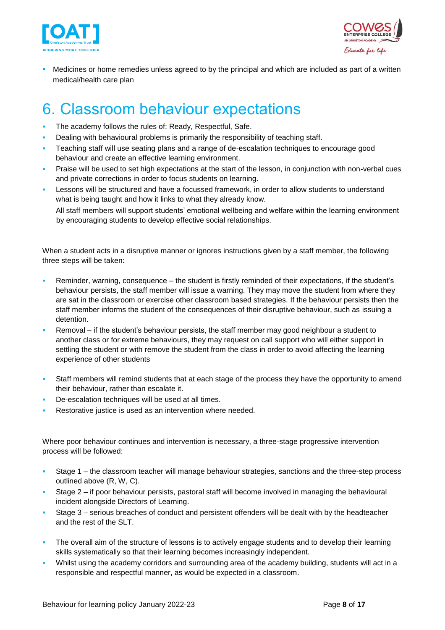



Medicines or home remedies unless agreed to by the principal and which are included as part of a written medical/health care plan

## <span id="page-7-0"></span>6. Classroom behaviour expectations

- The academy follows the rules of: Ready, Respectful, Safe.
- Dealing with behavioural problems is primarily the responsibility of teaching staff.
- Teaching staff will use seating plans and a range of de-escalation techniques to encourage good behaviour and create an effective learning environment.
- Praise will be used to set high expectations at the start of the lesson, in conjunction with non-verbal cues and private corrections in order to focus students on learning.
- Lessons will be structured and have a focussed framework, in order to allow students to understand what is being taught and how it links to what they already know.

All staff members will support students' emotional wellbeing and welfare within the learning environment by encouraging students to develop effective social relationships.

When a student acts in a disruptive manner or ignores instructions given by a staff member, the following three steps will be taken:

- Reminder, warning, consequence the student is firstly reminded of their expectations, if the student's behaviour persists, the staff member will issue a warning. They may move the student from where they are sat in the classroom or exercise other classroom based strategies. If the behaviour persists then the staff member informs the student of the consequences of their disruptive behaviour, such as issuing a detention.
- Removal if the student's behaviour persists, the staff member may good neighbour a student to another class or for extreme behaviours, they may request on call support who will either support in settling the student or with remove the student from the class in order to avoid affecting the learning experience of other students
- Staff members will remind students that at each stage of the process they have the opportunity to amend their behaviour, rather than escalate it.
- De-escalation techniques will be used at all times.
- Restorative justice is used as an intervention where needed.

Where poor behaviour continues and intervention is necessary, a three-stage progressive intervention process will be followed:

- Stage 1 the classroom teacher will manage behaviour strategies, sanctions and the three-step process outlined above (R, W, C).
- Stage 2 if poor behaviour persists, pastoral staff will become involved in managing the behavioural incident alongside Directors of Learning.
- Stage 3 serious breaches of conduct and persistent offenders will be dealt with by the headteacher and the rest of the SLT.
- **The overall aim of the structure of lessons is to actively engage students and to develop their learning** skills systematically so that their learning becomes increasingly independent.
- Whilst using the academy corridors and surrounding area of the academy building, students will act in a responsible and respectful manner, as would be expected in a classroom.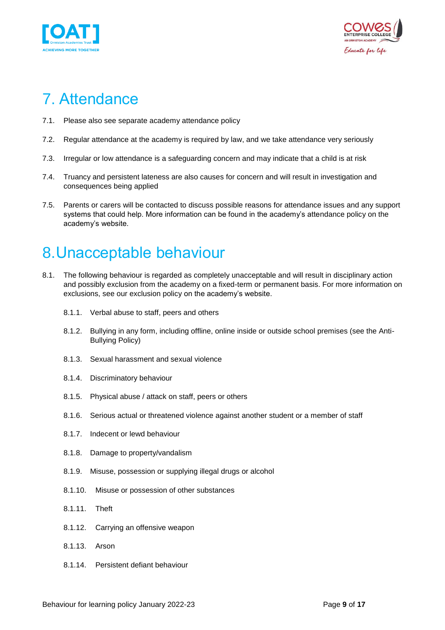



# <span id="page-8-0"></span>7. Attendance

- 7.1. Please also see separate academy attendance policy
- 7.2. Regular attendance at the academy is required by law, and we take attendance very seriously
- 7.3. Irregular or low attendance is a safeguarding concern and may indicate that a child is at risk
- 7.4. Truancy and persistent lateness are also causes for concern and will result in investigation and consequences being applied
- 7.5. Parents or carers will be contacted to discuss possible reasons for attendance issues and any support systems that could help. More information can be found in the academy's attendance policy on the academy's website.

# <span id="page-8-1"></span>8.Unacceptable behaviour

- 8.1. The following behaviour is regarded as completely unacceptable and will result in disciplinary action and possibly exclusion from the academy on a fixed-term or permanent basis. For more information on exclusions, see our exclusion policy on the academy's website.
	- 8.1.1. Verbal abuse to staff, peers and others
	- 8.1.2. Bullying in any form, including offline, online inside or outside school premises (see the Anti-Bullying Policy)
	- 8.1.3. Sexual harassment and sexual violence
	- 8.1.4. Discriminatory behaviour
	- 8.1.5. Physical abuse / attack on staff, peers or others
	- 8.1.6. Serious actual or threatened violence against another student or a member of staff
	- 8.1.7. Indecent or lewd behaviour
	- 8.1.8. Damage to property/vandalism
	- 8.1.9. Misuse, possession or supplying illegal drugs or alcohol
	- 8.1.10. Misuse or possession of other substances
	- 8.1.11. Theft
	- 8.1.12. Carrying an offensive weapon
	- 8.1.13. Arson
	- 8.1.14. Persistent defiant behaviour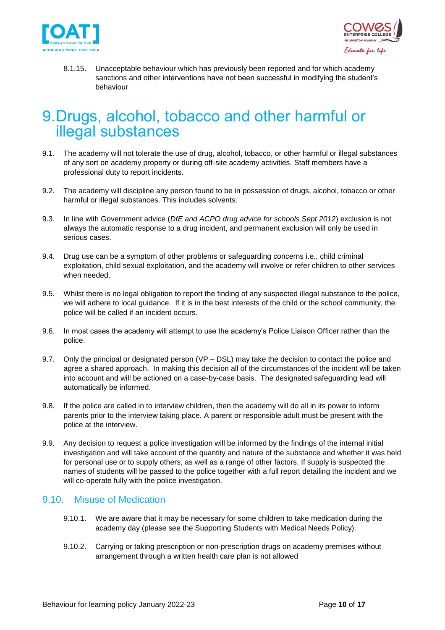



8.1.15. Unacceptable behaviour which has previously been reported and for which academy sanctions and other interventions have not been successful in modifying the student's behaviour

## <span id="page-9-0"></span>9.Drugs, alcohol, tobacco and other harmful or illegal substances

- 9.1. The academy will not tolerate the use of drug, alcohol, tobacco, or other harmful or illegal substances of any sort on academy property or during off-site academy activities. Staff members have a professional duty to report incidents.
- 9.2. The academy will discipline any person found to be in possession of drugs, alcohol, tobacco or other harmful or illegal substances. This includes solvents.
- 9.3. In line with Government advice (*DfE and ACPO drug advice for schools Sept 2012*) exclusion is not always the automatic response to a drug incident, and permanent exclusion will only be used in serious cases.
- 9.4. Drug use can be a symptom of other problems or safeguarding concerns i.e., child criminal exploitation, child sexual exploitation, and the academy will involve or refer children to other services when needed.
- 9.5. Whilst there is no legal obligation to report the finding of any suspected illegal substance to the police, we will adhere to local guidance. If it is in the best interests of the child or the school community, the police will be called if an incident occurs.
- 9.6. In most cases the academy will attempt to use the academy's Police Liaison Officer rather than the police.
- 9.7. Only the principal or designated person (VP DSL) may take the decision to contact the police and agree a shared approach. In making this decision all of the circumstances of the incident will be taken into account and will be actioned on a case-by-case basis. The designated safeguarding lead will automatically be informed.
- 9.8. If the police are called in to interview children, then the academy will do all in its power to inform parents prior to the interview taking place. A parent or responsible adult must be present with the police at the interview.
- 9.9. Any decision to request a police investigation will be informed by the findings of the internal initial investigation and will take account of the quantity and nature of the substance and whether it was held for personal use or to supply others, as well as a range of other factors. If supply is suspected the names of students will be passed to the police together with a full report detailing the incident and we will co-operate fully with the police investigation.

### <span id="page-9-1"></span>9.10. Misuse of Medication

- 9.10.1. We are aware that it may be necessary for some children to take medication during the academy day (please see the Supporting Students with Medical Needs Policy).
- 9.10.2. Carrying or taking prescription or non-prescription drugs on academy premises without arrangement through a written health care plan is not allowed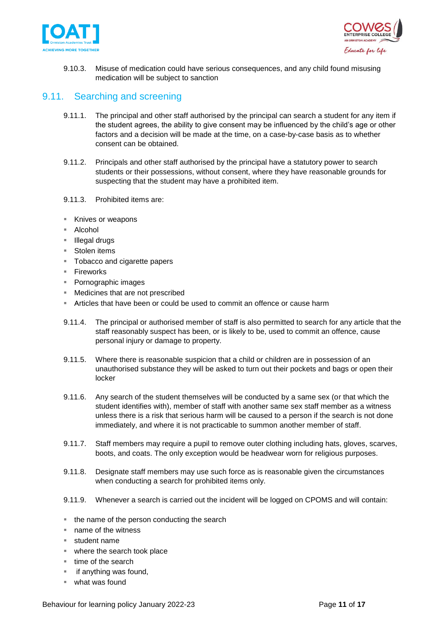



9.10.3. Misuse of medication could have serious consequences, and any child found misusing medication will be subject to sanction

## <span id="page-10-0"></span>9.11. Searching and screening

- 9.11.1. The principal and other staff authorised by the principal can search a student for any item if the student agrees, the ability to give consent may be influenced by the child's age or other factors and a decision will be made at the time, on a case-by-case basis as to whether consent can be obtained.
- 9.11.2. Principals and other staff authorised by the principal have a statutory power to search students or their possessions, without consent, where they have reasonable grounds for suspecting that the student may have a prohibited item.
- 9.11.3. Prohibited items are:
- Knives or weapons
- Alcohol
- Illegal drugs
- Stolen items
- Tobacco and cigarette papers
- Fireworks
- Pornographic images
- Medicines that are not prescribed
- Articles that have been or could be used to commit an offence or cause harm
- 9.11.4. The principal or authorised member of staff is also permitted to search for any article that the staff reasonably suspect has been, or is likely to be, used to commit an offence, cause personal injury or damage to property.
- 9.11.5. Where there is reasonable suspicion that a child or children are in possession of an unauthorised substance they will be asked to turn out their pockets and bags or open their locker
- 9.11.6. Any search of the student themselves will be conducted by a same sex (or that which the student identifies with), member of staff with another same sex staff member as a witness unless there is a risk that serious harm will be caused to a person if the search is not done immediately, and where it is not practicable to summon another member of staff.
- 9.11.7. Staff members may require a pupil to remove outer clothing including hats, gloves, scarves, boots, and coats. The only exception would be headwear worn for religious purposes.
- 9.11.8. Designate staff members may use such force as is reasonable given the circumstances when conducting a search for prohibited items only.
- 9.11.9. Whenever a search is carried out the incident will be logged on CPOMS and will contain:
- the name of the person conducting the search
- name of the witness
- student name
- where the search took place
- time of the search
- if anything was found,
- what was found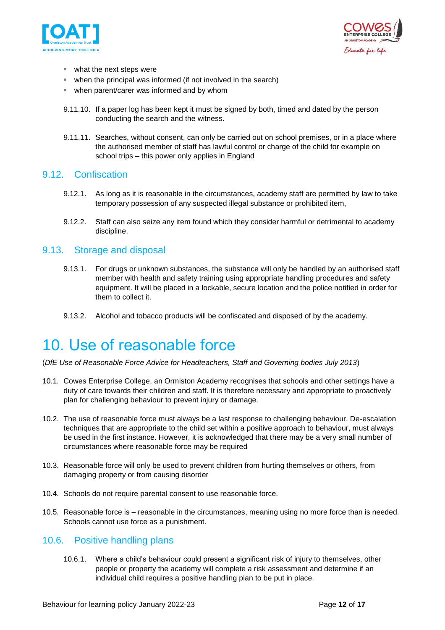



- what the next steps were
- **•** when the principal was informed (if not involved in the search)
- when parent/carer was informed and by whom
- 9.11.10. If a paper log has been kept it must be signed by both, timed and dated by the person conducting the search and the witness.
- 9.11.11. Searches, without consent, can only be carried out on school premises, or in a place where the authorised member of staff has lawful control or charge of the child for example on school trips – this power only applies in England

#### <span id="page-11-0"></span>9.12. Confiscation

- 9.12.1. As long as it is reasonable in the circumstances, academy staff are permitted by law to take temporary possession of any suspected illegal substance or prohibited item,
- 9.12.2. Staff can also seize any item found which they consider harmful or detrimental to academy discipline.

#### <span id="page-11-1"></span>9.13. Storage and disposal

- 9.13.1. For drugs or unknown substances, the substance will only be handled by an authorised staff member with health and safety training using appropriate handling procedures and safety equipment. It will be placed in a lockable, secure location and the police notified in order for them to collect it.
- 9.13.2. Alcohol and tobacco products will be confiscated and disposed of by the academy.

## <span id="page-11-2"></span>10. Use of reasonable force

- (*DfE Use of Reasonable Force Advice for Headteachers, Staff and Governing bodies July 2013*)
- 10.1. Cowes Enterprise College, an Ormiston Academy recognises that schools and other settings have a duty of care towards their children and staff. It is therefore necessary and appropriate to proactively plan for challenging behaviour to prevent injury or damage.
- 10.2. The use of reasonable force must always be a last response to challenging behaviour. De-escalation techniques that are appropriate to the child set within a positive approach to behaviour, must always be used in the first instance. However, it is acknowledged that there may be a very small number of circumstances where reasonable force may be required
- 10.3. Reasonable force will only be used to prevent children from hurting themselves or others, from damaging property or from causing disorder
- 10.4. Schools do not require parental consent to use reasonable force.
- 10.5. Reasonable force is reasonable in the circumstances, meaning using no more force than is needed. Schools cannot use force as a punishment.

### <span id="page-11-3"></span>10.6. Positive handling plans

10.6.1. Where a child's behaviour could present a significant risk of injury to themselves, other people or property the academy will complete a risk assessment and determine if an individual child requires a positive handling plan to be put in place.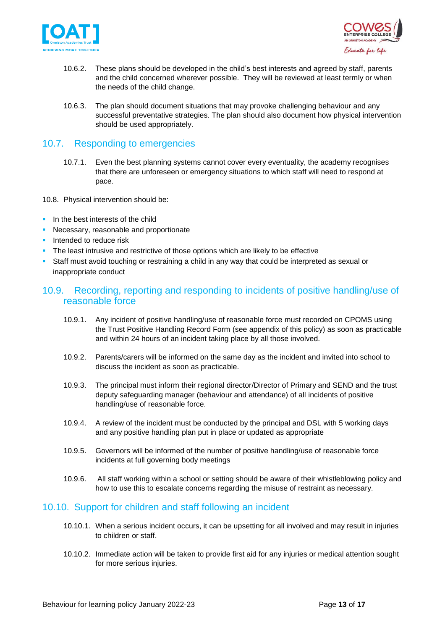



- 10.6.2. These plans should be developed in the child's best interests and agreed by staff, parents and the child concerned wherever possible. They will be reviewed at least termly or when the needs of the child change.
- 10.6.3. The plan should document situations that may provoke challenging behaviour and any successful preventative strategies. The plan should also document how physical intervention should be used appropriately.

## <span id="page-12-0"></span>10.7. Responding to emergencies

- 10.7.1. Even the best planning systems cannot cover every eventuality, the academy recognises that there are unforeseen or emergency situations to which staff will need to respond at pace.
- 10.8. Physical intervention should be:
- **•** In the best interests of the child
- **EXEC** Necessary, reasonable and proportionate
- **·** Intended to reduce risk
- **•** The least intrusive and restrictive of those options which are likely to be effective
- **EXT** Staff must avoid touching or restraining a child in any way that could be interpreted as sexual or inappropriate conduct

### <span id="page-12-1"></span>10.9. Recording, reporting and responding to incidents of positive handling/use of reasonable force

- 10.9.1. Any incident of positive handling/use of reasonable force must recorded on CPOMS using the Trust Positive Handling Record Form (see appendix of this policy) as soon as practicable and within 24 hours of an incident taking place by all those involved.
- 10.9.2. Parents/carers will be informed on the same day as the incident and invited into school to discuss the incident as soon as practicable.
- 10.9.3. The principal must inform their regional director/Director of Primary and SEND and the trust deputy safeguarding manager (behaviour and attendance) of all incidents of positive handling/use of reasonable force.
- 10.9.4. A review of the incident must be conducted by the principal and DSL with 5 working days and any positive handling plan put in place or updated as appropriate
- 10.9.5. Governors will be informed of the number of positive handling/use of reasonable force incidents at full governing body meetings
- 10.9.6. All staff working within a school or setting should be aware of their whistleblowing policy and how to use this to escalate concerns regarding the misuse of restraint as necessary.

### <span id="page-12-2"></span>10.10. Support for children and staff following an incident

- 10.10.1. When a serious incident occurs, it can be upsetting for all involved and may result in injuries to children or staff.
- 10.10.2. Immediate action will be taken to provide first aid for any injuries or medical attention sought for more serious injuries.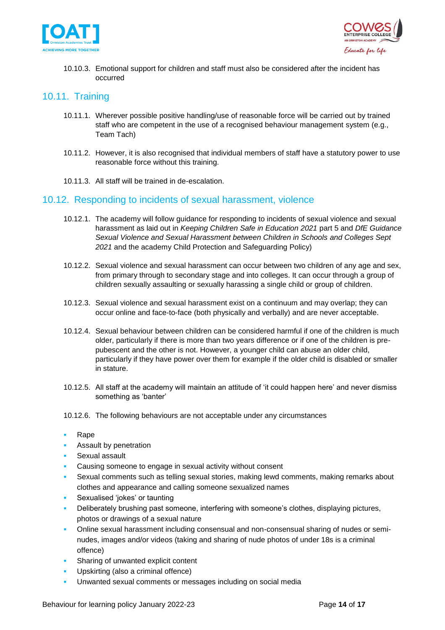



10.10.3. Emotional support for children and staff must also be considered after the incident has occurred

## <span id="page-13-0"></span>10.11. Training

- 10.11.1. Wherever possible positive handling/use of reasonable force will be carried out by trained staff who are competent in the use of a recognised behaviour management system (e.g., Team Tach)
- 10.11.2. However, it is also recognised that individual members of staff have a statutory power to use reasonable force without this training.
- 10.11.3. All staff will be trained in de-escalation.

### <span id="page-13-1"></span>10.12. Responding to incidents of sexual harassment, violence

- 10.12.1. The academy will follow guidance for responding to incidents of sexual violence and sexual harassment as laid out in *Keeping Children Safe in Education 2021* part 5 and *DfE Guidance Sexual Violence and Sexual Harassment between Children in Schools and Colleges Sept 2021* and the academy Child Protection and Safeguarding Policy)
- 10.12.2. Sexual violence and sexual harassment can occur between two children of any age and sex, from primary through to secondary stage and into colleges. It can occur through a group of children sexually assaulting or sexually harassing a single child or group of children.
- 10.12.3. Sexual violence and sexual harassment exist on a continuum and may overlap; they can occur online and face-to-face (both physically and verbally) and are never acceptable.
- 10.12.4. Sexual behaviour between children can be considered harmful if one of the children is much older, particularly if there is more than two years difference or if one of the children is prepubescent and the other is not. However, a younger child can abuse an older child, particularly if they have power over them for example if the older child is disabled or smaller in stature.
- 10.12.5. All staff at the academy will maintain an attitude of 'it could happen here' and never dismiss something as 'banter'
- 10.12.6. The following behaviours are not acceptable under any circumstances
- **Rape**
- Assault by penetration
- Sexual assault
- Causing someone to engage in sexual activity without consent
- Sexual comments such as telling sexual stories, making lewd comments, making remarks about clothes and appearance and calling someone sexualized names
- Sexualised 'jokes' or taunting
- Deliberately brushing past someone, interfering with someone's clothes, displaying pictures, photos or drawings of a sexual nature
- Online sexual harassment including consensual and non-consensual sharing of nudes or seminudes, images and/or videos (taking and sharing of nude photos of under 18s is a criminal offence)
- Sharing of unwanted explicit content
- Upskirting (also a criminal offence)
- Unwanted sexual comments or messages including on social media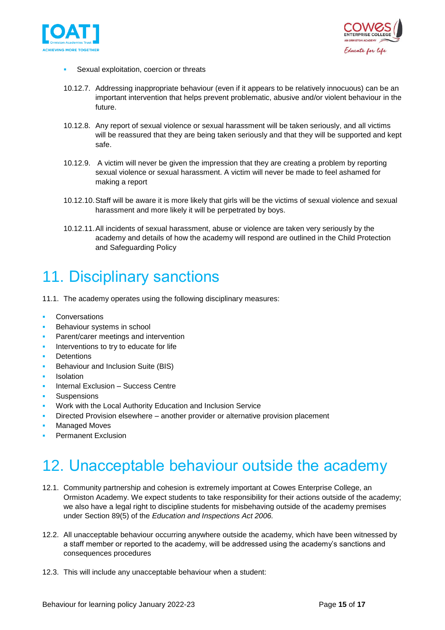



- Sexual exploitation, coercion or threats
- 10.12.7. Addressing inappropriate behaviour (even if it appears to be relatively innocuous) can be an important intervention that helps prevent problematic, abusive and/or violent behaviour in the future.
- 10.12.8. Any report of sexual violence or sexual harassment will be taken seriously, and all victims will be reassured that they are being taken seriously and that they will be supported and kept safe.
- 10.12.9. A victim will never be given the impression that they are creating a problem by reporting sexual violence or sexual harassment. A victim will never be made to feel ashamed for making a report
- 10.12.10.Staff will be aware it is more likely that girls will be the victims of sexual violence and sexual harassment and more likely it will be perpetrated by boys.
- 10.12.11.All incidents of sexual harassment, abuse or violence are taken very seriously by the academy and details of how the academy will respond are outlined in the Child Protection and Safeguarding Policy

# <span id="page-14-0"></span>11. Disciplinary sanctions

- 11.1. The academy operates using the following disciplinary measures:
- **Conversations**
- Behaviour systems in school
- Parent/carer meetings and intervention
- Interventions to try to educate for life
- **Detentions**
- Behaviour and Inclusion Suite (BIS)
- **Isolation**
- Internal Exclusion Success Centre
- **Suspensions**
- Work with the Local Authority Education and Inclusion Service
- Directed Provision elsewhere another provider or alternative provision placement
- **Managed Moves**
- <span id="page-14-1"></span>**Permanent Exclusion**

# 12. Unacceptable behaviour outside the academy

- 12.1. Community partnership and cohesion is extremely important at Cowes Enterprise College, an Ormiston Academy. We expect students to take responsibility for their actions outside of the academy; we also have a legal right to discipline students for misbehaving outside of the academy premises under Section 89(5) of the *Education and Inspections Act 2006.*
- 12.2. All unacceptable behaviour occurring anywhere outside the academy, which have been witnessed by a staff member or reported to the academy, will be addressed using the academy's sanctions and consequences procedures
- 12.3. This will include any unacceptable behaviour when a student: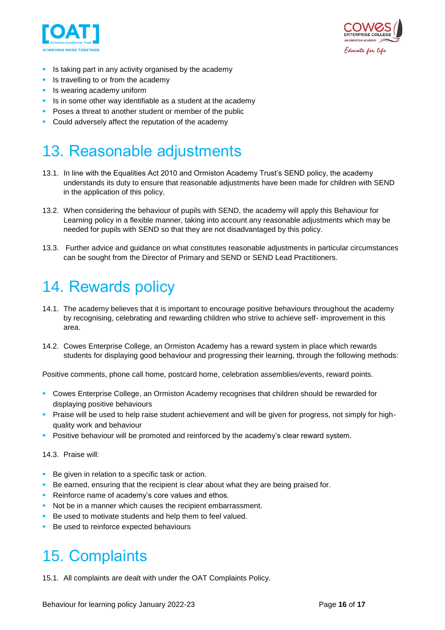



- **E** Is taking part in any activity organised by the academy
- Is travelling to or from the academy
- **•** Is wearing academy uniform
- **EXTE:** Is in some other way identifiable as a student at the academy
- Poses a threat to another student or member of the public
- Could adversely affect the reputation of the academy

## <span id="page-15-0"></span>13. Reasonable adjustments

- 13.1. In line with the Equalities Act 2010 and Ormiston Academy Trust's SEND policy, the academy understands its duty to ensure that reasonable adjustments have been made for children with SEND in the application of this policy.
- 13.2. When considering the behaviour of pupils with SEND, the academy will apply this Behaviour for Learning policy in a flexible manner, taking into account any reasonable adjustments which may be needed for pupils with SEND so that they are not disadvantaged by this policy.
- 13.3. Further advice and guidance on what constitutes reasonable adjustments in particular circumstances can be sought from the Director of Primary and SEND or SEND Lead Practitioners.

## <span id="page-15-1"></span>14. Rewards policy

- 14.1. The academy believes that it is important to encourage positive behaviours throughout the academy by recognising, celebrating and rewarding children who strive to achieve self- improvement in this area.
- 14.2. Cowes Enterprise College, an Ormiston Academy has a reward system in place which rewards students for displaying good behaviour and progressing their learning, through the following methods:

Positive comments, phone call home, postcard home, celebration assemblies/events, reward points.

- Cowes Enterprise College, an Ormiston Academy recognises that children should be rewarded for displaying positive behaviours
- Praise will be used to help raise student achievement and will be given for progress, not simply for highquality work and behaviour
- **•** Positive behaviour will be promoted and reinforced by the academy's clear reward system.

14.3. Praise will:

- Be given in relation to a specific task or action.
- **•** Be earned, ensuring that the recipient is clear about what they are being praised for.
- Reinforce name of academy's core values and ethos.
- Not be in a manner which causes the recipient embarrassment.
- Be used to motivate students and help them to feel valued.
- Be used to reinforce expected behaviours

# <span id="page-15-2"></span>15. Complaints

15.1. All complaints are dealt with under the OAT Complaints Policy.